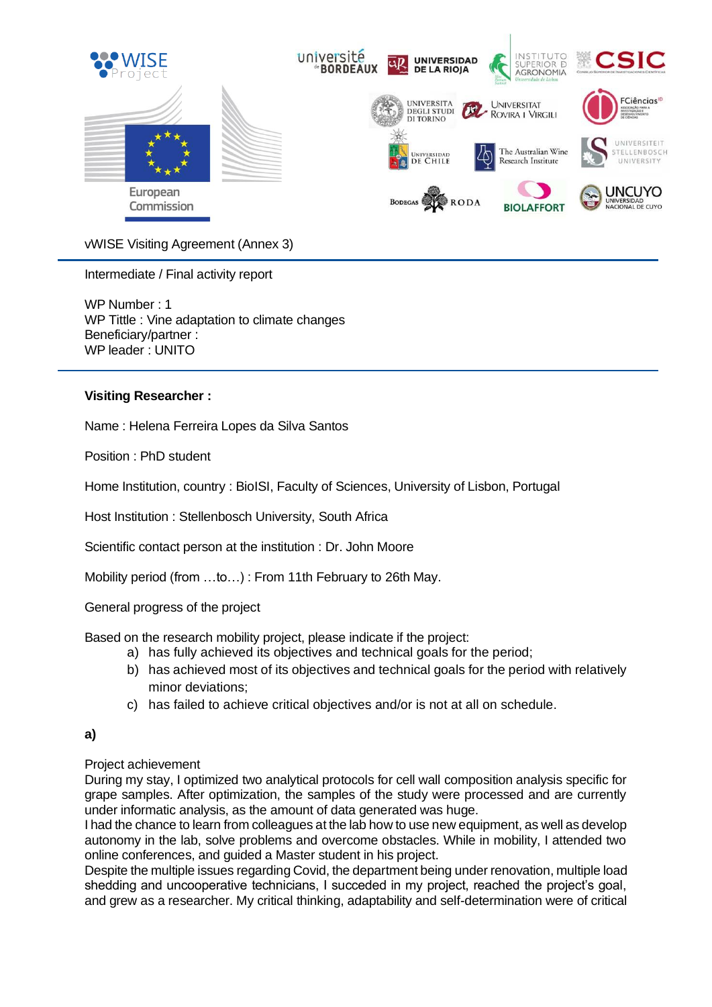

vWISE Visiting Agreement (Annex 3)

Intermediate / Final activity report

WP Number : 1 WP Tittle : Vine adaptation to climate changes Beneficiary/partner : WP leader : UNITO

## **Visiting Researcher :**

Name : Helena Ferreira Lopes da Silva Santos

Position : PhD student

Home Institution, country : BioISI, Faculty of Sciences, University of Lisbon, Portugal

Host Institution : Stellenbosch University, South Africa

Scientific contact person at the institution : Dr. John Moore

Mobility period (from …to…) : From 11th February to 26th May.

General progress of the project

Based on the research mobility project, please indicate if the project:

- a) has fully achieved its objectives and technical goals for the period;
- b) has achieved most of its objectives and technical goals for the period with relatively minor deviations;
- c) has failed to achieve critical objectives and/or is not at all on schedule.

## **a)**

## Project achievement

During my stay, I optimized two analytical protocols for cell wall composition analysis specific for grape samples. After optimization, the samples of the study were processed and are currently under informatic analysis, as the amount of data generated was huge.

I had the chance to learn from colleagues at the lab how to use new equipment, as well as develop autonomy in the lab, solve problems and overcome obstacles. While in mobility, I attended two online conferences, and guided a Master student in his project.

Despite the multiple issues regarding Covid, the department being under renovation, multiple load shedding and uncooperative technicians, I succeded in my project, reached the project's goal, and grew as a researcher. My critical thinking, adaptability and self-determination were of critical